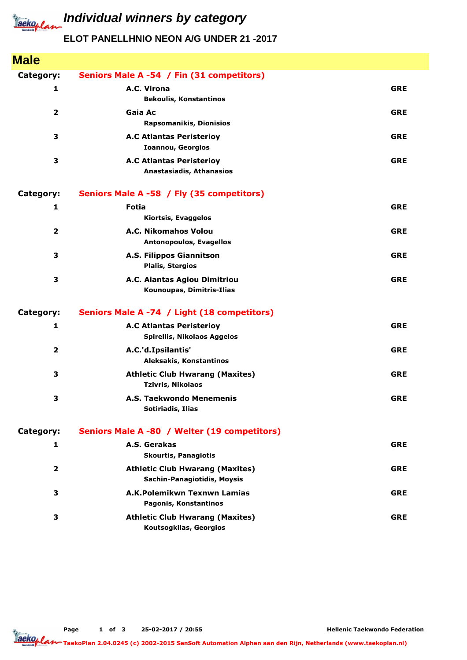

## **ELOT PANELLHNIO NEON A/G UNDER 21 -2017**

| <b>Male</b>             |                                                                       |            |
|-------------------------|-----------------------------------------------------------------------|------------|
| Category:               | Seniors Male A -54 / Fin (31 competitors)                             |            |
| 1                       | A.C. Virona<br><b>Bekoulis, Konstantinos</b>                          | <b>GRE</b> |
| $\overline{2}$          | Gaia Ac<br><b>Rapsomanikis, Dionisios</b>                             | <b>GRE</b> |
| 3                       | <b>A.C Atlantas Peristerioy</b><br><b>Ioannou, Georgios</b>           | <b>GRE</b> |
| 3                       | <b>A.C Atlantas Peristerioy</b><br>Anastasiadis, Athanasios           | <b>GRE</b> |
| Category:               | Seniors Male A -58 / Fly (35 competitors)                             |            |
| 1                       | Fotia<br>Kiortsis, Evaggelos                                          | <b>GRE</b> |
| $\overline{\mathbf{2}}$ | A.C. Nikomahos Volou<br><b>Antonopoulos, Evagellos</b>                | <b>GRE</b> |
| 3                       | A.S. Filippos Giannitson<br><b>Plalis, Stergios</b>                   | <b>GRE</b> |
| 3                       | A.C. Aiantas Agiou Dimitriou<br>Kounoupas, Dimitris-Ilias             | <b>GRE</b> |
| Category:               | Seniors Male A -74 / Light (18 competitors)                           |            |
| $\mathbf{1}$            | <b>A.C Atlantas Peristerioy</b><br>Spirellis, Nikolaos Aggelos        | <b>GRE</b> |
| $\overline{\mathbf{2}}$ | A.C.'d.Ipsilantis'<br>Aleksakis, Konstantinos                         | <b>GRE</b> |
| 3                       | <b>Athletic Club Hwarang (Maxites)</b><br><b>Tzivris, Nikolaos</b>    | <b>GRE</b> |
| 3                       | A.S. Taekwondo Menemenis<br>Sotiriadis, Ilias                         | <b>GRE</b> |
| Category:               | Seniors Male A -80 / Welter (19 competitors)                          |            |
| 1                       | A.S. Gerakas<br><b>Skourtis, Panagiotis</b>                           | <b>GRE</b> |
| $\overline{2}$          | <b>Athletic Club Hwarang (Maxites)</b><br>Sachin-Panagiotidis, Moysis | <b>GRE</b> |
| 3                       | A.K.Polemikwn Texnwn Lamias<br>Pagonis, Konstantinos                  | <b>GRE</b> |
| 3                       | <b>Athletic Club Hwarang (Maxites)</b><br>Koutsogkilas, Georgios      | <b>GRE</b> |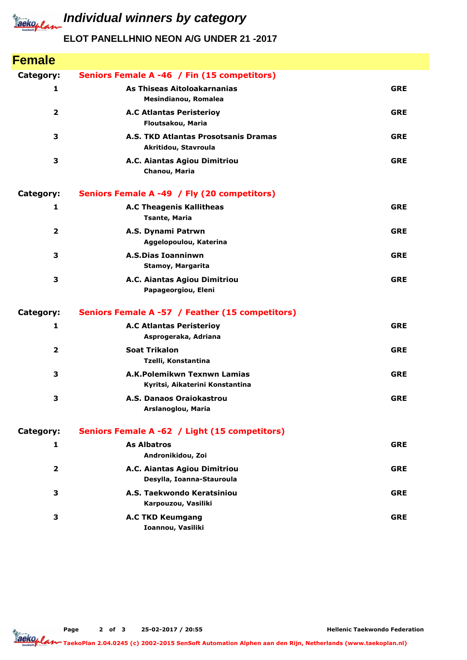

*Iaeko<sub>plan</sub>* Individual winners by category

## **ELOT PANELLHNIO NEON A/G UNDER 21 -2017**

| <b>Female</b>           |                                                                |            |
|-------------------------|----------------------------------------------------------------|------------|
| Category:               | Seniors Female A -46 / Fin (15 competitors)                    |            |
| 1                       | As Thiseas Aitoloakarnanias<br>Mesindianou, Romalea            | <b>GRE</b> |
| $\overline{2}$          | <b>A.C Atlantas Peristerioy</b><br>Floutsakou, Maria           | <b>GRE</b> |
| 3                       | A.S. TKD Atlantas Prosotsanis Dramas<br>Akritidou, Stavroula   | <b>GRE</b> |
| 3                       | A.C. Aiantas Agiou Dimitriou<br>Chanou, Maria                  | <b>GRE</b> |
| Category:               | Seniors Female A -49 / Fly (20 competitors)                    |            |
| 1                       | <b>A.C Theagenis Kallitheas</b><br><b>Tsante, Maria</b>        | <b>GRE</b> |
| $\mathbf{2}$            | A.S. Dynami Patrwn<br>Aggelopoulou, Katerina                   | <b>GRE</b> |
| 3                       | <b>A.S.Dias Ioanninwn</b><br>Stamoy, Margarita                 | <b>GRE</b> |
| 3                       | A.C. Aiantas Agiou Dimitriou<br>Papageorgiou, Eleni            | <b>GRE</b> |
| Category:               | Seniors Female A -57 / Feather (15 competitors)                |            |
| $\mathbf{1}$            | <b>A.C Atlantas Peristerioy</b><br>Asprogeraka, Adriana        | <b>GRE</b> |
| $\overline{\mathbf{2}}$ | <b>Soat Trikalon</b><br>Tzelli, Konstantina                    | <b>GRE</b> |
| 3                       | A.K.Polemikwn Texnwn Lamias<br>Kyritsi, Aikaterini Konstantina | <b>GRE</b> |
| 3                       | A.S. Danaos Oraiokastrou<br>Arslanoglou, Maria                 | <b>GRE</b> |
| Category:               | Seniors Female A -62 / Light (15 competitors)                  |            |
| $\mathbf{1}$            | <b>As Albatros</b><br>Andronikidou, Zoi                        | <b>GRE</b> |
| $\overline{2}$          | A.C. Aiantas Agiou Dimitriou<br>Desylla, Ioanna-Stauroula      | <b>GRE</b> |
| 3                       | A.S. Taekwondo Keratsiniou<br>Karpouzou, Vasiliki              | <b>GRE</b> |
| 3                       | <b>A.C TKD Keumgang</b><br>Ioannou, Vasiliki                   | <b>GRE</b> |